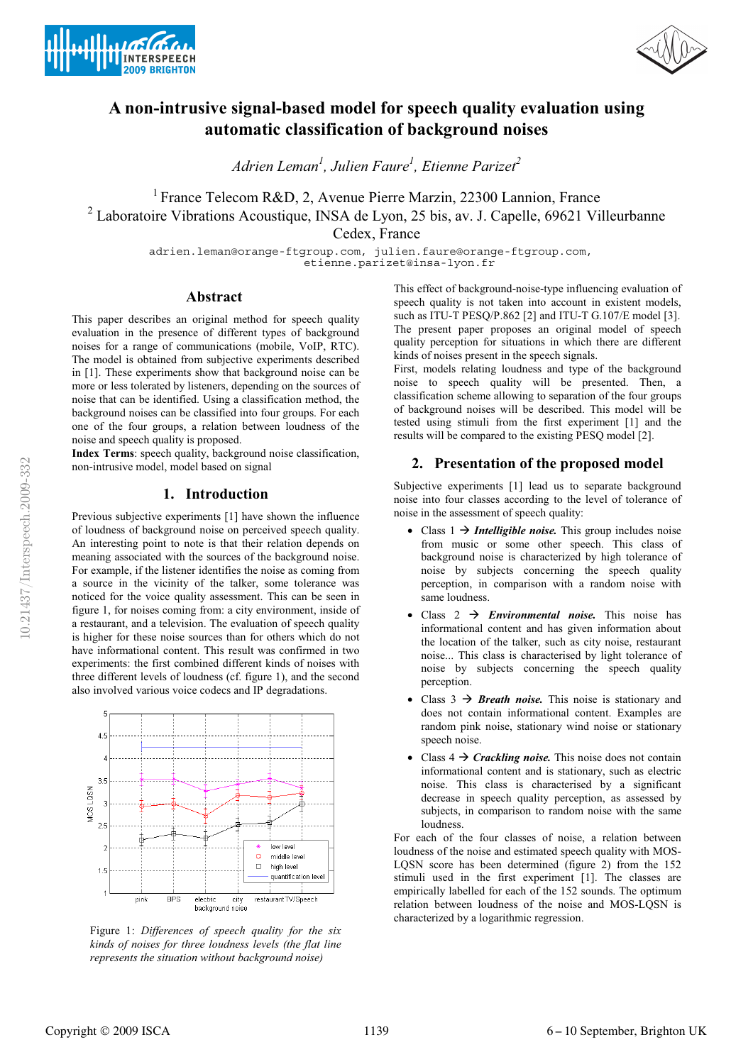



# **A non-intrusive signal-based model for speech quality evaluation using automatic classification of background noises**

*Adrien Leman<sup>1</sup> , Julien Faure1 , Etienne Parizet<sup>2</sup>*

<sup>1</sup> France Telecom R&D, 2, Avenue Pierre Marzin, 22300 Lannion, France <sup>2</sup> Laboratoire Vibrations Acoustique, INSA de Lyon, 25 bis, av. J. Capelle, 69621 Villeurbanne

Cedex, France

adrien.leman@orange-ftgroup.com, julien.faure@orange-ftgroup.com, etienne.parizet@insa-lyon.fr

# **Abstract**

This paper describes an original method for speech quality evaluation in the presence of different types of background noises for a range of communications (mobile, VoIP, RTC). The model is obtained from subjective experiments described in [1]. These experiments show that background noise can be more or less tolerated by listeners, depending on the sources of noise that can be identified. Using a classification method, the background noises can be classified into four groups. For each one of the four groups, a relation between loudness of the noise and speech quality is proposed.

**Index Terms**: speech quality, background noise classification, non-intrusive model, model based on signal

# **1. Introduction**

Previous subjective experiments [1] have shown the influence of loudness of background noise on perceived speech quality. An interesting point to note is that their relation depends on meaning associated with the sources of the background noise. For example, if the listener identifies the noise as coming from a source in the vicinity of the talker, some tolerance was noticed for the voice quality assessment. This can be seen in figure 1, for noises coming from: a city environment, inside of a restaurant, and a television. The evaluation of speech quality is higher for these noise sources than for others which do not have informational content. This result was confirmed in two experiments: the first combined different kinds of noises with three different levels of loudness (cf. figure 1), and the second also involved various voice codecs and IP degradations.



Figure 1: *Differences of speech quality for the six kinds of noises for three loudness levels (the flat line represents the situation without background noise)* 

This effect of background-noise-type influencing evaluation of speech quality is not taken into account in existent models, such as ITU-T PESO/P.862 [2] and ITU-T G.107/E model [3]. The present paper proposes an original model of speech quality perception for situations in which there are different kinds of noises present in the speech signals.

First, models relating loudness and type of the background noise to speech quality will be presented. Then, a classification scheme allowing to separation of the four groups of background noises will be described. This model will be tested using stimuli from the first experiment [1] and the results will be compared to the existing PESQ model [2].

# **2. Presentation of the proposed model**

Subjective experiments [1] lead us to separate background noise into four classes according to the level of tolerance of noise in the assessment of speech quality:

- Class  $1 \rightarrow$  *Intelligible noise*. This group includes noise from music or some other speech. This class of background noise is characterized by high tolerance of noise by subjects concerning the speech quality perception, in comparison with a random noise with same loudness.
- Class  $2 \rightarrow Environmental noise$ . This noise has informational content and has given information about the location of the talker, such as city noise, restaurant noise... This class is characterised by light tolerance of noise by subjects concerning the speech quality perception.
- Class  $3 \rightarrow$  *Breath noise*. This noise is stationary and does not contain informational content. Examples are random pink noise, stationary wind noise or stationary speech noise.
- Class  $4 \rightarrow C$ *rackling noise*. This noise does not contain informational content and is stationary, such as electric noise. This class is characterised by a significant decrease in speech quality perception, as assessed by subjects, in comparison to random noise with the same loudness.

For each of the four classes of noise, a relation between loudness of the noise and estimated speech quality with MOS-LQSN score has been determined (figure 2) from the 152 stimuli used in the first experiment [1]. The classes are empirically labelled for each of the 152 sounds. The optimum relation between loudness of the noise and MOS-LQSN is characterized by a logarithmic regression.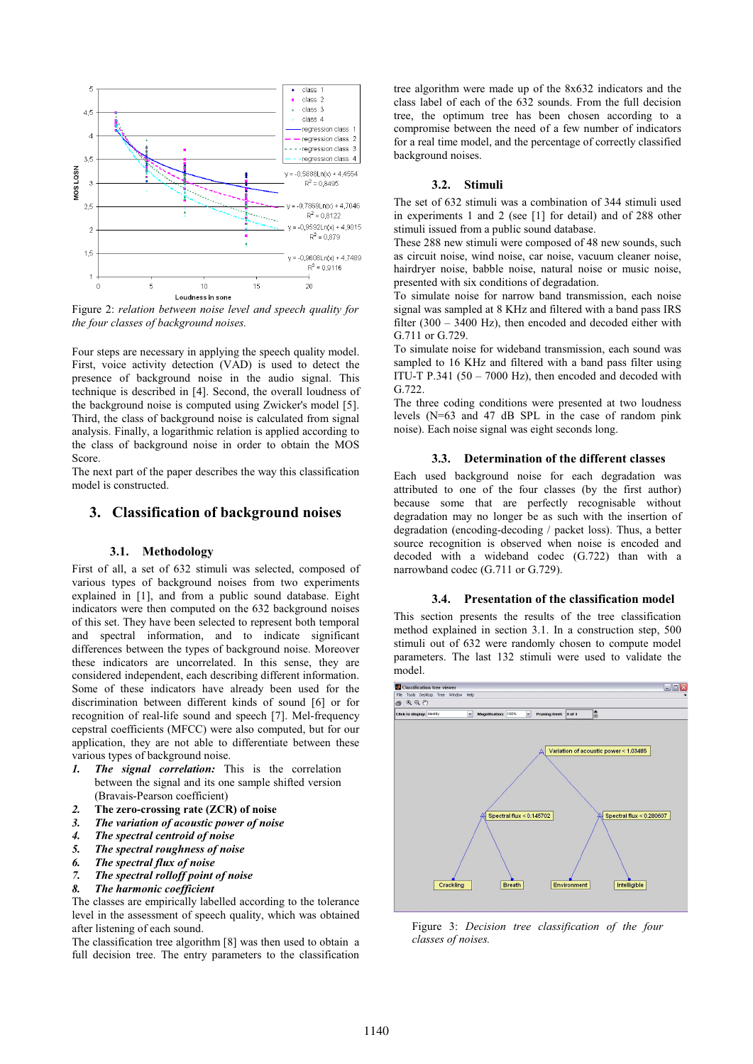

Figure 2: *relation between noise level and speech quality for the four classes of background noises.*

Four steps are necessary in applying the speech quality model. First, voice activity detection (VAD) is used to detect the presence of background noise in the audio signal. This technique is described in [4]. Second, the overall loudness of the background noise is computed using Zwicker's model [5]. Third, the class of background noise is calculated from signal analysis. Finally, a logarithmic relation is applied according to the class of background noise in order to obtain the MOS Score.

The next part of the paper describes the way this classification model is constructed.

## **3. Classification of background noises**

#### **3.1. Methodology**

First of all, a set of 632 stimuli was selected, composed of various types of background noises from two experiments explained in [1], and from a public sound database. Eight indicators were then computed on the 632 background noises of this set. They have been selected to represent both temporal and spectral information, and to indicate significant differences between the types of background noise. Moreover these indicators are uncorrelated. In this sense, they are considered independent, each describing different information. Some of these indicators have already been used for the discrimination between different kinds of sound [6] or for recognition of real-life sound and speech [7]. Mel-frequency cepstral coefficients (MFCC) were also computed, but for our application, they are not able to differentiate between these various types of background noise.

- *1. The signal correlation:* This is the correlation between the signal and its one sample shifted version (Bravais-Pearson coefficient)
- *2.* **The zero-crossing rate (ZCR) of noise**
- *3. The variation of acoustic power of noise*
- *4. The spectral centroid of noise*
- *5. The spectral roughness of noise*
- *6. The spectral flux of noise*
- *7. The spectral rolloff point of noise*
- *8. The harmonic coefficient*

The classes are empirically labelled according to the tolerance level in the assessment of speech quality, which was obtained after listening of each sound.

The classification tree algorithm [8] was then used to obtain a full decision tree. The entry parameters to the classification tree algorithm were made up of the 8x632 indicators and the class label of each of the 632 sounds. From the full decision tree, the optimum tree has been chosen according to a compromise between the need of a few number of indicators for a real time model, and the percentage of correctly classified background noises.

### **3.2. Stimuli**

The set of 632 stimuli was a combination of 344 stimuli used in experiments 1 and 2 (see [1] for detail) and of 288 other stimuli issued from a public sound database.

These 288 new stimuli were composed of 48 new sounds, such as circuit noise, wind noise, car noise, vacuum cleaner noise, hairdryer noise, babble noise, natural noise or music noise, presented with six conditions of degradation.

To simulate noise for narrow band transmission, each noise signal was sampled at 8 KHz and filtered with a band pass IRS filter (300 – 3400 Hz), then encoded and decoded either with G.711 or G.729.

To simulate noise for wideband transmission, each sound was sampled to 16 KHz and filtered with a band pass filter using ITU-T P.341 (50 – 7000 Hz), then encoded and decoded with G.722.

The three coding conditions were presented at two loudness levels (N=63 and 47 dB SPL in the case of random pink noise). Each noise signal was eight seconds long.

#### **3.3. Determination of the different classes**

Each used background noise for each degradation was attributed to one of the four classes (by the first author) because some that are perfectly recognisable without degradation may no longer be as such with the insertion of degradation (encoding-decoding / packet loss). Thus, a better source recognition is observed when noise is encoded and decoded with a wideband codec (G.722) than with a narrowband codec (G.711 or G.729).

#### **3.4. Presentation of the classification model**

This section presents the results of the tree classification method explained in section 3.1. In a construction step, 500 stimuli out of 632 were randomly chosen to compute model parameters. The last 132 stimuli were used to validate the model.



Figure 3: *Decision tree classification of the four classes of noises.*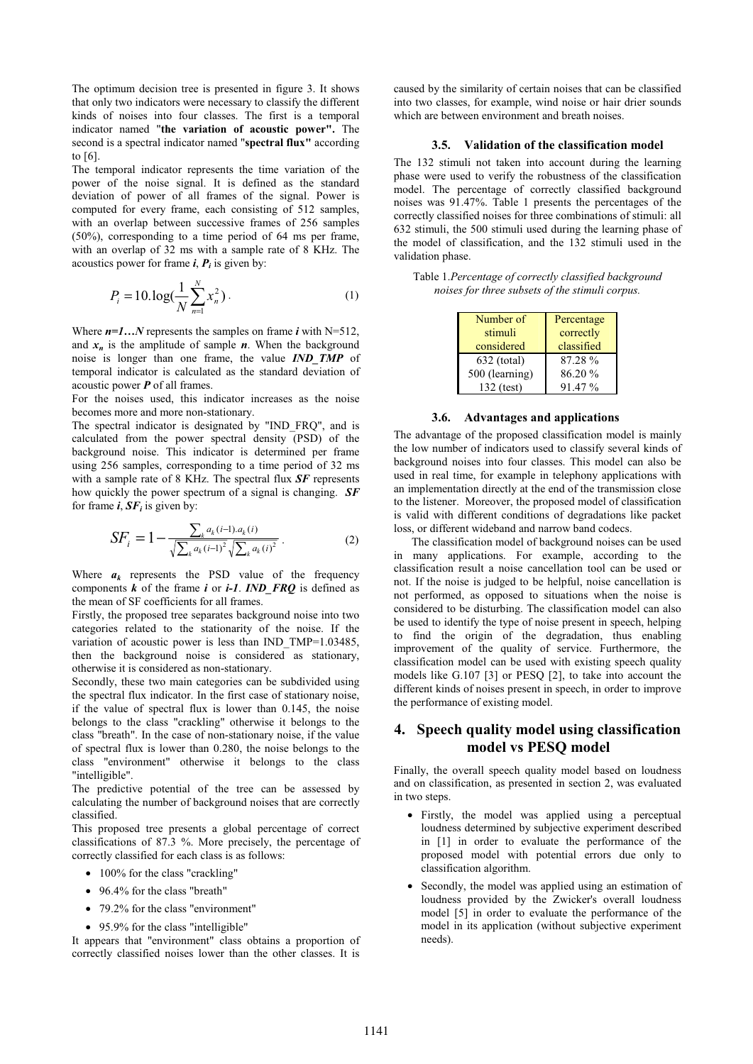The optimum decision tree is presented in figure 3. It shows that only two indicators were necessary to classify the different kinds of noises into four classes. The first is a temporal indicator named "**the variation of acoustic power".** The second is a spectral indicator named "**spectral flux"** according to [6].

The temporal indicator represents the time variation of the power of the noise signal. It is defined as the standard deviation of power of all frames of the signal. Power is computed for every frame, each consisting of 512 samples, with an overlap between successive frames of 256 samples (50%), corresponding to a time period of 64 ms per frame, with an overlap of 32 ms with a sample rate of 8 KHz. The acoustics power for frame  $\boldsymbol{i}$ ,  $\boldsymbol{P}_i$  is given by:

$$
P_i = 10 \cdot \log(\frac{1}{N} \sum_{n=1}^{N} x_n^2).
$$
 (1)

Where  $n=1...N$  represents the samples on frame *i* with N=512, and  $x_n$  is the amplitude of sample  $n$ . When the background noise is longer than one frame, the value *IND\_TMP* of temporal indicator is calculated as the standard deviation of acoustic power *P* of all frames.

For the noises used, this indicator increases as the noise becomes more and more non-stationary.

The spectral indicator is designated by "IND\_FRQ", and is calculated from the power spectral density (PSD) of the background noise. This indicator is determined per frame using 256 samples, corresponding to a time period of 32 ms with a sample rate of 8 KHz. The spectral flux *SF* represents how quickly the power spectrum of a signal is changing. *SF* for frame  $\boldsymbol{i}$ ,  $\boldsymbol{S}\boldsymbol{F}_i$  is given by:

$$
SF_i = 1 - \frac{\sum_{k} a_k (i-1) \cdot a_k (i)}{\sqrt{\sum_{k} a_k (i-1)^2} \sqrt{\sum_{k} a_k (i)^2}}.
$$
 (2)

Where  $a_k$  represents the PSD value of the frequency components  $k$  of the frame  $i$  or  $i-1$ . *IND* FRQ is defined as the mean of SF coefficients for all frames.

Firstly, the proposed tree separates background noise into two categories related to the stationarity of the noise. If the variation of acoustic power is less than IND\_TMP=1.03485, then the background noise is considered as stationary, otherwise it is considered as non-stationary.

Secondly, these two main categories can be subdivided using the spectral flux indicator. In the first case of stationary noise, if the value of spectral flux is lower than 0.145, the noise belongs to the class "crackling" otherwise it belongs to the class "breath". In the case of non-stationary noise, if the value of spectral flux is lower than 0.280, the noise belongs to the class "environment" otherwise it belongs to the class "intelligible".

The predictive potential of the tree can be assessed by calculating the number of background noises that are correctly classified.

This proposed tree presents a global percentage of correct classifications of 87.3 %. More precisely, the percentage of correctly classified for each class is as follows:

- 100% for the class "crackling"
- 96.4% for the class "breath"
- 79.2% for the class "environment"
- 95.9% for the class "intelligible"

It appears that "environment" class obtains a proportion of correctly classified noises lower than the other classes. It is caused by the similarity of certain noises that can be classified into two classes, for example, wind noise or hair drier sounds which are between environment and breath noises.

#### **3.5. Validation of the classification model**

The 132 stimuli not taken into account during the learning phase were used to verify the robustness of the classification model. The percentage of correctly classified background noises was 91.47%. Table 1 presents the percentages of the correctly classified noises for three combinations of stimuli: all 632 stimuli, the 500 stimuli used during the learning phase of the model of classification, and the 132 stimuli used in the validation phase.

| Table 1. Percentage of correctly classified background |  |
|--------------------------------------------------------|--|
| noises for three subsets of the stimuli corpus.        |  |

| Number of      | Percentage |
|----------------|------------|
| stimuli        | correctly  |
| considered     | classified |
| $632$ (total)  | 87.28 %    |
| 500 (learning) | 86.20%     |
| 132 (test)     | 91.47%     |

#### **3.6. Advantages and applications**

The advantage of the proposed classification model is mainly the low number of indicators used to classify several kinds of background noises into four classes. This model can also be used in real time, for example in telephony applications with an implementation directly at the end of the transmission close to the listener. Moreover, the proposed model of classification is valid with different conditions of degradations like packet loss, or different wideband and narrow band codecs.

The classification model of background noises can be used in many applications. For example, according to the classification result a noise cancellation tool can be used or not. If the noise is judged to be helpful, noise cancellation is not performed, as opposed to situations when the noise is considered to be disturbing. The classification model can also be used to identify the type of noise present in speech, helping to find the origin of the degradation, thus enabling improvement of the quality of service. Furthermore, the classification model can be used with existing speech quality models like G.107 [3] or PESQ [2], to take into account the different kinds of noises present in speech, in order to improve the performance of existing model.

# **4. Speech quality model using classification model vs PESQ model**

Finally, the overall speech quality model based on loudness and on classification, as presented in section 2, was evaluated in two steps.

- Firstly, the model was applied using a perceptual loudness determined by subjective experiment described in [1] in order to evaluate the performance of the proposed model with potential errors due only to classification algorithm.
- Secondly, the model was applied using an estimation of loudness provided by the Zwicker's overall loudness model [5] in order to evaluate the performance of the model in its application (without subjective experiment needs).